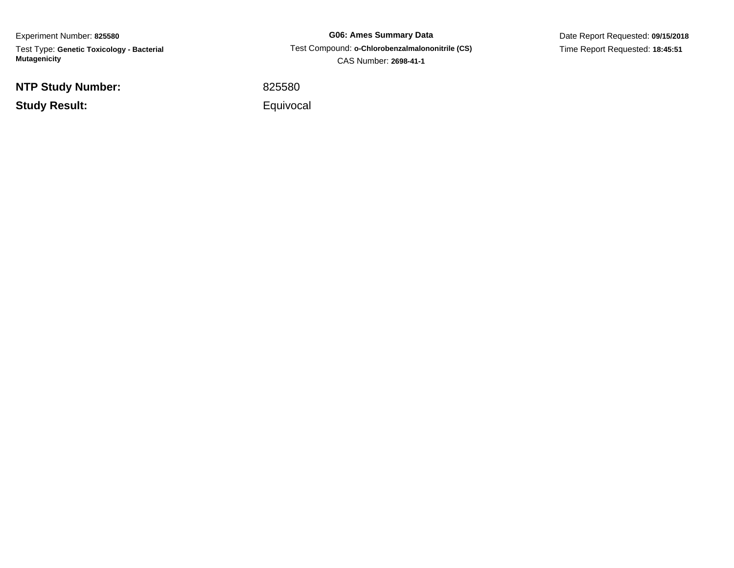Experiment Number: **825580** Test Type: **Genetic Toxicology - Bacterial Mutagenicity**

**NTP Study Number:**

**Study Result:**

**G06: Ames Summary Data** Test Compound: **o-Chlorobenzalmalononitrile (CS)**CAS Number: **2698-41-1**

Date Report Requested: **09/15/2018**Time Report Requested: **18:45:51**

<sup>825580</sup>

Equivocal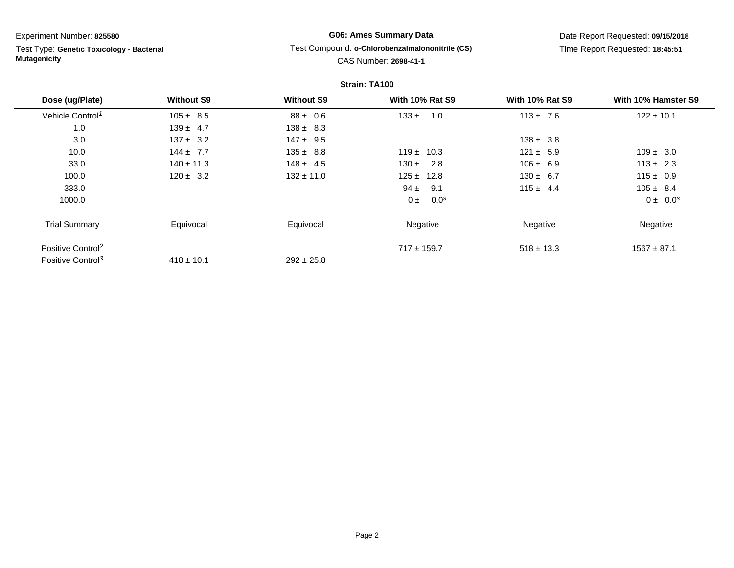Test Type: **Genetic Toxicology - Bacterial Mutagenicity**

## **G06: Ames Summary Data**Test Compound: **o-Chlorobenzalmalononitrile (CS)**

# Date Report Requested: **09/15/2018**Time Report Requested: **18:45:51**

### CAS Number: **2698-41-1**

|                               |                   |                   | Strain: TA100          |                        |                     |
|-------------------------------|-------------------|-------------------|------------------------|------------------------|---------------------|
| Dose (ug/Plate)               | <b>Without S9</b> | <b>Without S9</b> | <b>With 10% Rat S9</b> | <b>With 10% Rat S9</b> | With 10% Hamster S9 |
| Vehicle Control <sup>1</sup>  | $105 \pm 8.5$     | $88 \pm 0.6$      | $133 \pm 1.0$          | $113 \pm 7.6$          | $122 \pm 10.1$      |
| 1.0                           | $139 \pm 4.7$     | $138 \pm 8.3$     |                        |                        |                     |
| 3.0                           | $137 \pm 3.2$     | $147 \pm 9.5$     |                        | $138 \pm 3.8$          |                     |
| 10.0                          | $144 \pm 7.7$     | $135 \pm 8.8$     | $119 \pm 10.3$         | $121 \pm 5.9$          | $109 \pm 3.0$       |
| 33.0                          | $140 \pm 11.3$    | $148 \pm 4.5$     | $130 \pm 2.8$          | $106 \pm 6.9$          | $113 \pm 2.3$       |
| 100.0                         | $120 \pm 3.2$     | $132 \pm 11.0$    | $125 \pm 12.8$         | $130 \pm 6.7$          | $115 \pm 0.9$       |
| 333.0                         |                   |                   | $94 \pm 9.1$           | $115 \pm 4.4$          | $105 \pm 8.4$       |
| 1000.0                        |                   |                   | $0 \pm 0.0^s$          |                        | $0 \pm 0.0^s$       |
| <b>Trial Summary</b>          | Equivocal         | Equivocal         | Negative               | Negative               | Negative            |
| Positive Control <sup>2</sup> |                   |                   | $717 \pm 159.7$        | $518 \pm 13.3$         | $1567 \pm 87.1$     |
| Positive Control <sup>3</sup> | $418 \pm 10.1$    | $292 \pm 25.8$    |                        |                        |                     |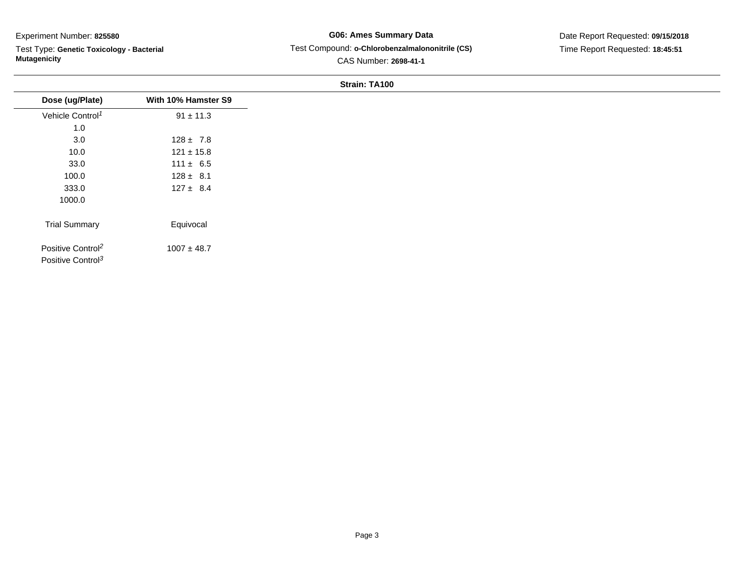Test Type: **Genetic Toxicology - Bacterial Mutagenicity**

**G06: Ames Summary Data** Test Compound: **o-Chlorobenzalmalononitrile (CS)**CAS Number: **2698-41-1**

Date Report Requested: **09/15/2018**Time Report Requested: **18:45:51**

|                                                                |                     | <b>JUQUIL IMIVU</b> |
|----------------------------------------------------------------|---------------------|---------------------|
| Dose (ug/Plate)                                                | With 10% Hamster S9 |                     |
| Vehicle Control <sup>1</sup>                                   | $91 \pm 11.3$       |                     |
| 1.0                                                            |                     |                     |
| 3.0                                                            | $128 \pm 7.8$       |                     |
| 10.0                                                           | $121 \pm 15.8$      |                     |
| 33.0                                                           | $111 \pm 6.5$       |                     |
| 100.0                                                          | $128 \pm 8.1$       |                     |
| 333.0                                                          | $127 \pm 8.4$       |                     |
| 1000.0                                                         |                     |                     |
|                                                                |                     |                     |
| <b>Trial Summary</b>                                           | Equivocal           |                     |
| Positive Control <sup>2</sup><br>Positive Control <sup>3</sup> | $1007 \pm 48.7$     |                     |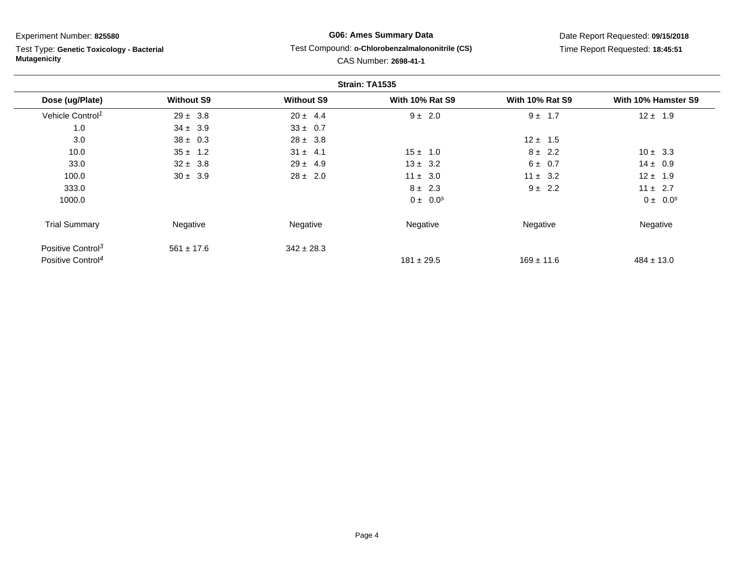Test Type: **Genetic Toxicology - Bacterial Mutagenicity**

# **G06: Ames Summary Data**

#### Test Compound: **o-Chlorobenzalmalononitrile (CS)**

Date Report Requested: **09/15/2018**Time Report Requested: **18:45:51**

# CAS Number: **2698-41-1**

|                               |                   |                   | Strain: TA1535         |                        |                     |
|-------------------------------|-------------------|-------------------|------------------------|------------------------|---------------------|
| Dose (ug/Plate)               | <b>Without S9</b> | <b>Without S9</b> | <b>With 10% Rat S9</b> | <b>With 10% Rat S9</b> | With 10% Hamster S9 |
| Vehicle Control <sup>1</sup>  | $29 \pm 3.8$      | $20 \pm 4.4$      | $9 \pm 2.0$            | 1.7<br>$9 \pm$         | $12 \pm 1.9$        |
| 1.0                           | $34 \pm 3.9$      | $33 \pm 0.7$      |                        |                        |                     |
| 3.0                           | $38 \pm 0.3$      | $28 \pm 3.8$      |                        | $12 \pm 1.5$           |                     |
| 10.0                          | $35 \pm 1.2$      | $31 \pm 4.1$      | $15 \pm 1.0$           | $8 \pm 2.2$            | $10 \pm 3.3$        |
| 33.0                          | $32 \pm 3.8$      | $29 \pm 4.9$      | $13 \pm 3.2$           | $6 \pm 0.7$            | $14 \pm 0.9$        |
| 100.0                         | $30 \pm 3.9$      | $28 \pm 2.0$      | $11 \pm 3.0$           | $11 \pm 3.2$           | $12 \pm 1.9$        |
| 333.0                         |                   |                   | $8 \pm 2.3$            | $9 \pm 2.2$            | $11 \pm 2.7$        |
| 1000.0                        |                   |                   | $0 \pm 0.0^s$          |                        | $0 \pm 0.0^s$       |
| <b>Trial Summary</b>          | Negative          | Negative          | Negative               | Negative               | Negative            |
| Positive Control <sup>3</sup> | $561 \pm 17.6$    | $342 \pm 28.3$    |                        |                        |                     |
| Positive Control <sup>4</sup> |                   |                   | $181 \pm 29.5$         | $169 \pm 11.6$         | $484 \pm 13.0$      |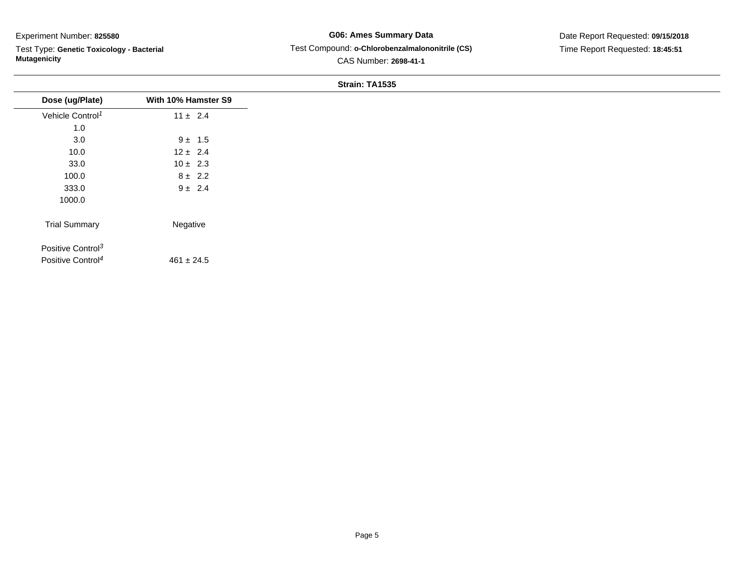Test Type: **Genetic Toxicology - Bacterial Mutagenicity**

# **G06: Ames Summary Data** Test Compound: **o-Chlorobenzalmalononitrile (CS)**CAS Number: **2698-41-1**

Date Report Requested: **09/15/2018**Time Report Requested: **18:45:51**

|                               |                     | Strain: 1A1535 |
|-------------------------------|---------------------|----------------|
| Dose (ug/Plate)               | With 10% Hamster S9 |                |
| Vehicle Control <sup>1</sup>  | $11 \pm 2.4$        |                |
| 1.0                           |                     |                |
| 3.0                           | $9 \pm 1.5$         |                |
| 10.0                          | $12 \pm 2.4$        |                |
| 33.0                          | $10 \pm 2.3$        |                |
| 100.0                         | $8 \pm 2.2$         |                |
| 333.0                         | $9 \pm 2.4$         |                |
| 1000.0                        |                     |                |
| <b>Trial Summary</b>          | Negative            |                |
| Positive Control <sup>3</sup> |                     |                |
| Positive Control <sup>4</sup> | $461 \pm 24.5$      |                |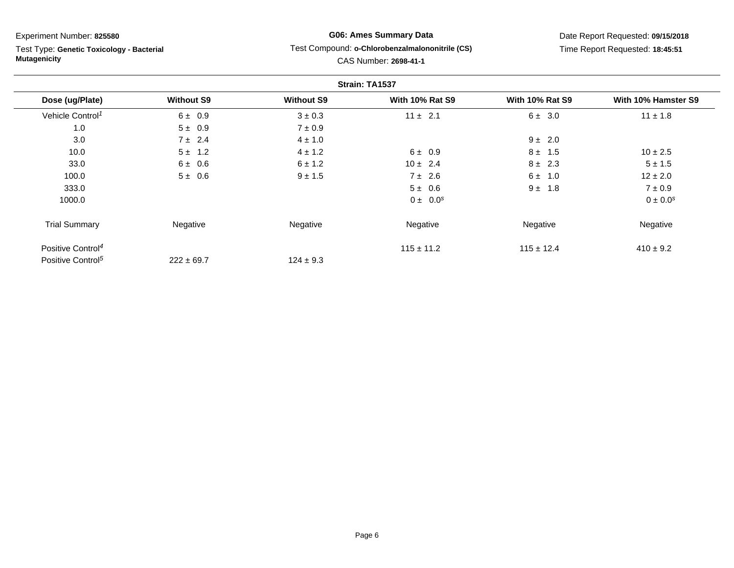$\overline{\phantom{0}}$ 

 Test Type: **Genetic Toxicology - Bacterial Mutagenicity**

# **G06: Ames Summary Data**Test Compound: **o-Chlorobenzalmalononitrile (CS)**

CAS Number: **2698-41-1**

Date Report Requested: **09/15/2018**Time Report Requested: **18:45:51**

|                               |                   |                   | Strain: TA1537         |                        |                     |
|-------------------------------|-------------------|-------------------|------------------------|------------------------|---------------------|
| Dose (ug/Plate)               | <b>Without S9</b> | <b>Without S9</b> | <b>With 10% Rat S9</b> | <b>With 10% Rat S9</b> | With 10% Hamster S9 |
| Vehicle Control <sup>1</sup>  | $6 \pm 0.9$       | $3 \pm 0.3$       | $11 \pm 2.1$           | 6 ± 3.0                | $11 \pm 1.8$        |
| 1.0                           | $5 \pm 0.9$       | $7 \pm 0.9$       |                        |                        |                     |
| 3.0                           | $7 \pm 2.4$       | $4 \pm 1.0$       |                        | $9 \pm 2.0$            |                     |
| 10.0                          | $5 \pm 1.2$       | $4 \pm 1.2$       | $6 \pm 0.9$            | $8 \pm 1.5$            | $10 \pm 2.5$        |
| 33.0                          | 6 ± 0.6           | $6 \pm 1.2$       | $10 \pm 2.4$           | $8 \pm 2.3$            | $5 \pm 1.5$         |
| 100.0                         | $5 \pm 0.6$       | $9 \pm 1.5$       | $7 \pm 2.6$            | $6 \pm 1.0$            | $12 \pm 2.0$        |
| 333.0                         |                   |                   | $5 \pm 0.6$            | $9 \pm 1.8$            | $7 \pm 0.9$         |
| 1000.0                        |                   |                   | $0 \pm 0.0^s$          |                        | $0 \pm 0.0^{s}$     |
| <b>Trial Summary</b>          | Negative          | Negative          | Negative               | Negative               | Negative            |
| Positive Control <sup>4</sup> |                   |                   | $115 \pm 11.2$         | $115 \pm 12.4$         | $410 \pm 9.2$       |
| Positive Control <sup>5</sup> | $222 \pm 69.7$    | $124 \pm 9.3$     |                        |                        |                     |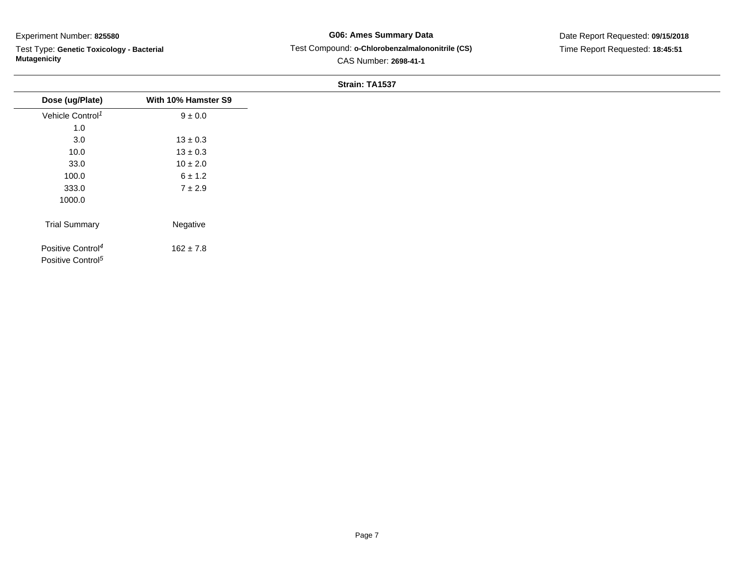Test Type: **Genetic Toxicology - Bacterial Mutagenicity**

# **G06: Ames Summary Data** Test Compound: **o-Chlorobenzalmalononitrile (CS)**CAS Number: **2698-41-1**

|                                                                |                     | Strain: TA1537 |
|----------------------------------------------------------------|---------------------|----------------|
| Dose (ug/Plate)                                                | With 10% Hamster S9 |                |
| Vehicle Control <sup>1</sup>                                   | $9 \pm 0.0$         |                |
| 1.0                                                            |                     |                |
| 3.0                                                            | $13 \pm 0.3$        |                |
| 10.0                                                           | $13 \pm 0.3$        |                |
| 33.0                                                           | $10 \pm 2.0$        |                |
| 100.0                                                          | $6 \pm 1.2$         |                |
| 333.0                                                          | $7 \pm 2.9$         |                |
| 1000.0                                                         |                     |                |
| <b>Trial Summary</b>                                           | Negative            |                |
| Positive Control <sup>4</sup><br>Positive Control <sup>5</sup> | $162 \pm 7.8$       |                |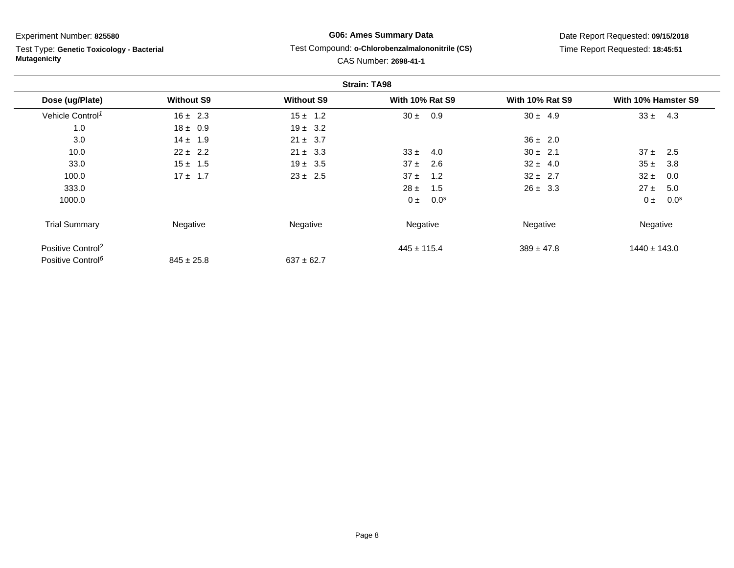Test Type: **Genetic Toxicology - Bacterial Mutagenicity**

## **G06: Ames Summary Data**Test Compound: **o-Chlorobenzalmalononitrile (CS)**

# Date Report Requested: **09/15/2018**Time Report Requested: **18:45:51**

### CAS Number: **2698-41-1**

|                               |                   |                   | <b>Strain: TA98</b>         |                        |                             |
|-------------------------------|-------------------|-------------------|-----------------------------|------------------------|-----------------------------|
| Dose (ug/Plate)               | <b>Without S9</b> | <b>Without S9</b> | <b>With 10% Rat S9</b>      | <b>With 10% Rat S9</b> | With 10% Hamster S9         |
| Vehicle Control <sup>1</sup>  | $16 \pm 2.3$      | $15 \pm 1.2$      | $30 \pm$<br>0.9             | $30 \pm 4.9$           | $33 \pm 4.3$                |
| 1.0                           | $18 \pm 0.9$      | $19 \pm 3.2$      |                             |                        |                             |
| 3.0                           | $14 \pm 1.9$      | $21 \pm 3.7$      |                             | $36 \pm 2.0$           |                             |
| 10.0                          | $22 \pm 2.2$      | $21 \pm 3.3$      | $33 \pm$<br>4.0             | $30 \pm 2.1$           | $37 \pm$<br>2.5             |
| 33.0                          | $15 \pm 1.5$      | $19 \pm 3.5$      | $37 \pm$<br>2.6             | $32 \pm 4.0$           | $35 \pm$<br>3.8             |
| 100.0                         | $17 \pm 1.7$      | $23 \pm 2.5$      | $37 \pm$<br>1.2             | $32 \pm 2.7$           | $32 \pm$<br>0.0             |
| 333.0                         |                   |                   | 1.5<br>$28 \pm$             | $26 \pm 3.3$           | $27 \pm$<br>5.0             |
| 1000.0                        |                   |                   | 0.0 <sup>s</sup><br>$0 \pm$ |                        | 0.0 <sup>s</sup><br>$0 \pm$ |
| <b>Trial Summary</b>          | Negative          | Negative          | Negative                    | Negative               | Negative                    |
| Positive Control <sup>2</sup> |                   |                   | $445 \pm 115.4$             | $389 \pm 47.8$         | $1440 \pm 143.0$            |
| Positive Control <sup>6</sup> | $845 \pm 25.8$    | $637 \pm 62.7$    |                             |                        |                             |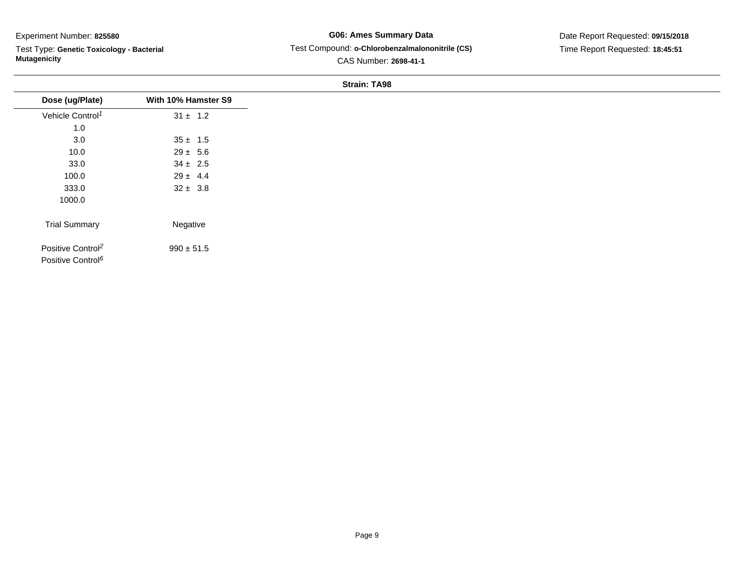Test Type: **Genetic Toxicology - Bacterial Mutagenicity**

**G06: Ames Summary Data** Test Compound: **o-Chlorobenzalmalononitrile (CS)**CAS Number: **2698-41-1**

Date Report Requested: **09/15/2018**Time Report Requested: **18:45:51**

| Dose (ug/Plate)                                                | With 10% Hamster S9 |
|----------------------------------------------------------------|---------------------|
| Vehicle Control <sup>1</sup>                                   | $31 \pm 1.2$        |
| 1.0                                                            |                     |
| 3.0                                                            | $35 \pm 1.5$        |
| 10.0                                                           | $29 \pm 5.6$        |
| 33.0                                                           | $34 \pm 2.5$        |
| 100.0                                                          | $29 \pm 4.4$        |
| 333.0                                                          | $32 \pm 3.8$        |
| 1000.0                                                         |                     |
| <b>Trial Summary</b>                                           | Negative            |
| Positive Control <sup>2</sup><br>Positive Control <sup>6</sup> | $990 \pm 51.5$      |